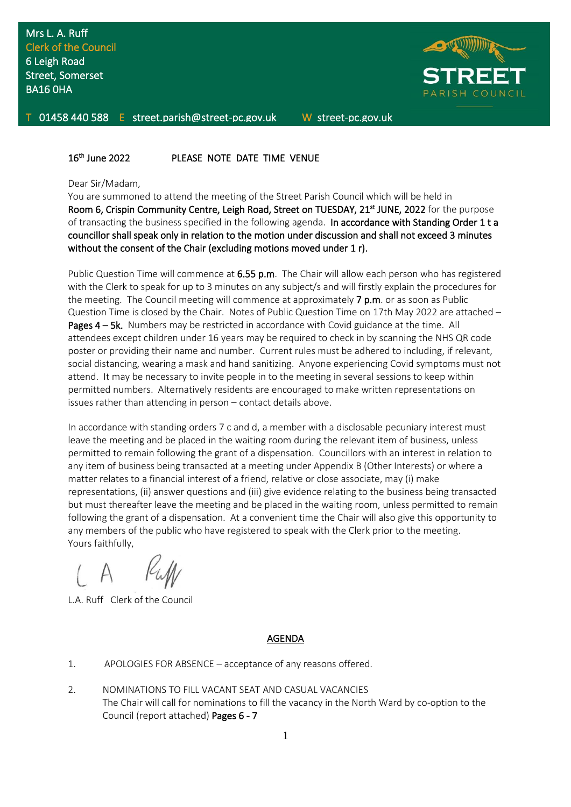

01458 440 588 E street.parish@street-pc.gov.uk W street-pc.gov.uk

#### $16<sup>th</sup>$ PLEASE NOTE DATE TIME VENUE

#### Dear Sir/Madam,

You are summoned to attend the meeting of the Street Parish Council which will be held in Room 6, Crispin Community Centre, Leigh Road, Street on TUESDAY, 21<sup>st</sup> JUNE, 2022 for the purpose of transacting the business specified in the following agenda. In accordance with Standing Order 1 t a councillor shall speak only in relation to the motion under discussion and shall not exceed 3 minutes without the consent of the Chair (excluding motions moved under 1 r).

Public Question Time will commence at 6.55 p.m. The Chair will allow each person who has registered with the Clerk to speak for up to 3 minutes on any subject/s and will firstly explain the procedures for the meeting. The Council meeting will commence at approximately 7 p.m. or as soon as Public Question Time is closed by the Chair. Notes of Public Question Time on 17th May 2022 are attached – Pages 4 – 5k. Numbers may be restricted in accordance with Covid guidance at the time. All attendees except children under 16 years may be required to check in by scanning the NHS QR code poster or providing their name and number. Current rules must be adhered to including, if relevant, social distancing, wearing a mask and hand sanitizing. Anyone experiencing Covid symptoms must not attend. It may be necessary to invite people in to the meeting in several sessions to keep within permitted numbers. Alternatively residents are encouraged to make written representations on issues rather than attending in person – contact details above.

In accordance with standing orders 7 c and d, a member with a disclosable pecuniary interest must leave the meeting and be placed in the waiting room during the relevant item of business, unless permitted to remain following the grant of a dispensation. Councillors with an interest in relation to any item of business being transacted at a meeting under Appendix B (Other Interests) or where a matter relates to a financial interest of a friend, relative or close associate, may (i) make representations, (ii) answer questions and (iii) give evidence relating to the business being transacted but must thereafter leave the meeting and be placed in the waiting room, unless permitted to remain following the grant of a dispensation. At a convenient time the Chair will also give this opportunity to any members of the public who have registered to speak with the Clerk prior to the meeting. Yours faithfully,

L.A. Ruff Clerk of the Council

## AGENDA

- 1. APOLOGIES FOR ABSENCE acceptance of any reasons offered.
- 2. NOMINATIONS TO FILL VACANT SEAT AND CASUAL VACANCIES The Chair will call for nominations to fill the vacancy in the North Ward by co-option to the Council (report attached) Pages 6 - 7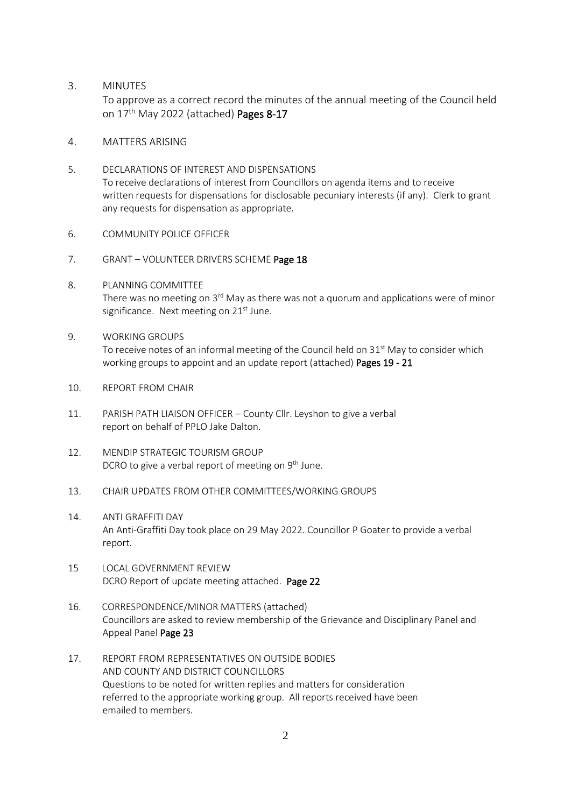3. MINUTES

To approve as a correct record the minutes of the annual meeting of the Council held on 17<sup>th</sup> May 2022 (attached) Pages 8-17

- 4. MATTERS ARISING
- 5. DECLARATIONS OF INTEREST AND DISPENSATIONS To receive declarations of interest from Councillors on agenda items and to receive written requests for dispensations for disclosable pecuniary interests (if any). Clerk to grant any requests for dispensation as appropriate.
- 6. COMMUNITY POLICE OFFICER
- 7. GRANT VOLUNTEER DRIVERS SCHEME Page 18
- 8. PLANNING COMMITTEE There was no meeting on 3 $^{\rm rd}$  May as there was not a quorum and applications were of minor significance. Next meeting on  $21<sup>st</sup>$  June.
- 9. WORKING GROUPS To receive notes of an informal meeting of the Council held on  $31<sup>st</sup>$  May to consider which working groups to appoint and an update report (attached) Pages 19 - 21
- 10. REPORT FROM CHAIR
- 11. PARISH PATH LIAISON OFFICER County Cllr. Leyshon to give a verbal report on behalf of PPLO Jake Dalton.
- 12. MENDIP STRATEGIC TOURISM GROUP DCRO to give a verbal report of meeting on 9<sup>th</sup> June.
- 13. CHAIR UPDATES FROM OTHER COMMITTEES/WORKING GROUPS
- 14. ANTI GRAFFITI DAY An Anti-Graffiti Day took place on 29 May 2022. Councillor P Goater to provide a verbal report.
- 15 LOCAL GOVERNMENT REVIEW DCRO Report of update meeting attached. Page 22
- 16. CORRESPONDENCE/MINOR MATTERS (attached) Councillors are asked to review membership of the Grievance and Disciplinary Panel and Appeal Panel Page 23
- 17. REPORT FROM REPRESENTATIVES ON OUTSIDE BODIES AND COUNTY AND DISTRICT COUNCILLORS Questions to be noted for written replies and matters for consideration referred to the appropriate working group. All reports received have been emailed to members.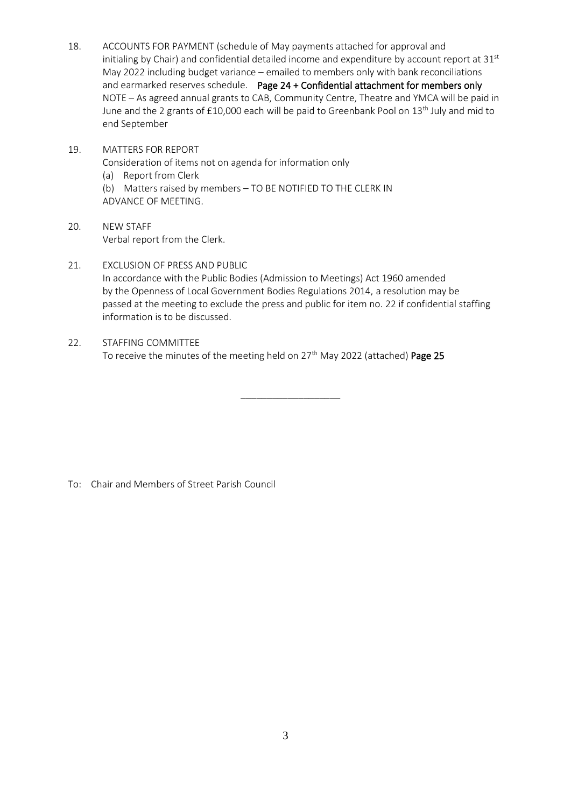- 18. ACCOUNTS FOR PAYMENT (schedule of May payments attached for approval and initialing by Chair) and confidential detailed income and expenditure by account report at  $31<sup>st</sup>$ May 2022 including budget variance – emailed to members only with bank reconciliations and earmarked reserves schedule. Page 24 + Confidential attachment for members only NOTE – As agreed annual grants to CAB, Community Centre, Theatre and YMCA will be paid in June and the 2 grants of £10,000 each will be paid to Greenbank Pool on 13<sup>th</sup> July and mid to end September
- 19. MATTERS FOR REPORT Consideration of items not on agenda for information only (a) Report from Clerk (b) Matters raised by members – TO BE NOTIFIED TO THE CLERK IN ADVANCE OF MEETING.
- 20. NEW STAFF Verbal report from the Clerk.
- 21. EXCLUSION OF PRESS AND PUBLIC In accordance with the Public Bodies (Admission to Meetings) Act 1960 amended by the Openness of Local Government Bodies Regulations 2014, a resolution may be passed at the meeting to exclude the press and public for item no. 22 if confidential staffing information is to be discussed.

\_\_\_\_\_\_\_\_\_\_\_\_\_\_\_\_\_\_\_

22. STAFFING COMMITTEE To receive the minutes of the meeting held on 27<sup>th</sup> May 2022 (attached) Page 25

To: Chair and Members of Street Parish Council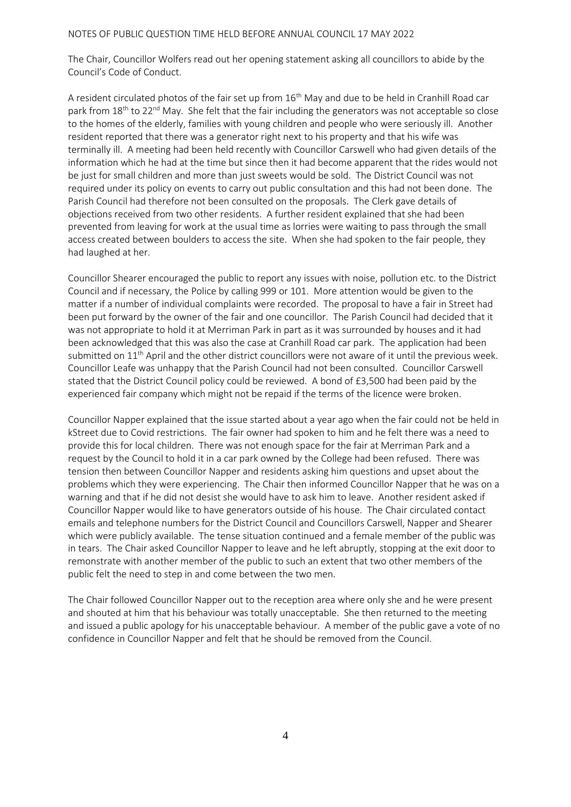#### NOTES OF PUBLIC QUESTION TIME HELD BEFORE ANNUAL COUNCIL 17 MAY 2022

The Chair, Councillor Wolfers read out her opening statement asking all councillors to abide by the Council's Code of Conduct.

A resident circulated photos of the fair set up from  $16<sup>th</sup>$  May and due to be held in Cranhill Road car park from 18<sup>th</sup> to 22<sup>nd</sup> May. She felt that the fair including the generators was not acceptable so close to the homes of the elderly, families with young children and people who were seriously ill. Another resident reported that there was a generator right next to his property and that his wife was terminally ill. A meeting had been held recently with Councillor Carswell who had given details of the information which he had at the time but since then it had become apparent that the rides would not be just for small children and more than just sweets would be sold. The District Council was not required under its policy on events to carry out public consultation and this had not been done. The Parish Council had therefore not been consulted on the proposals. The Clerk gave details of objections received from two other residents. A further resident explained that she had been prevented from leaving for work at the usual time as lorries were waiting to pass through the small access created between boulders to access the site. When she had spoken to the fair people, they had laughed at her.

Councillor Shearer encouraged the public to report any issues with noise, pollution etc. to the District Council and if necessary, the Police by calling 999 or 101. More attention would be given to the matter if a number of individual complaints were recorded. The proposal to have a fair in Street had been put forward by the owner of the fair and one councillor. The Parish Council had decided that it was not appropriate to hold it at Merriman Park in part as it was surrounded by houses and it had been acknowledged that this was also the case at Cranhill Road car park. The application had been submitted on 11<sup>th</sup> April and the other district councillors were not aware of it until the previous week. Councillor Leafe was unhappy that the Parish Council had not been consulted. Councillor Carswell stated that the District Council policy could be reviewed. A bond of £3,500 had been paid by the experienced fair company which might not be repaid if the terms of the licence were broken.

Councillor Napper explained that the issue started about a year ago when the fair could not be held in kStreet due to Covid restrictions. The fair owner had spoken to him and he felt there was a need to provide this for local children. There was not enough space for the fair at Merriman Park and a request by the Council to hold it in a car park owned by the College had been refused. There was tension then between Councillor Napper and residents asking him questions and upset about the problems which they were experiencing. The Chair then informed Councillor Napper that he was on a warning and that if he did not desist she would have to ask him to leave. Another resident asked if Councillor Napper would like to have generators outside of his house. The Chair circulated contact emails and telephone numbers for the District Council and Councillors Carswell, Napper and Shearer which were publicly available. The tense situation continued and a female member of the public was in tears. The Chair asked Councillor Napper to leave and he left abruptly, stopping at the exit door to remonstrate with another member of the public to such an extent that two other members of the public felt the need to step in and come between the two men.

The Chair followed Councillor Napper out to the reception area where only she and he were present and shouted at him that his behaviour was totally unacceptable. She then returned to the meeting and issued a public apology for his unacceptable behaviour. A member of the public gave a vote of no confidence in Councillor Napper and felt that he should be removed from the Council.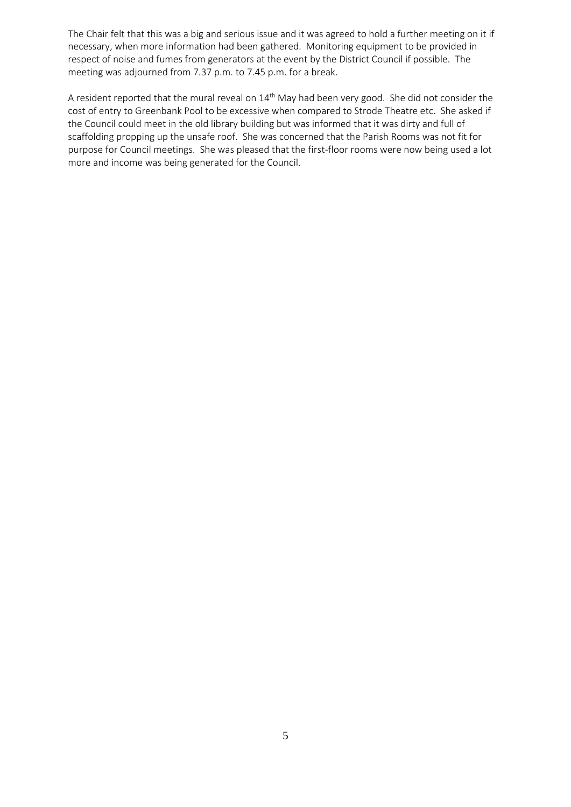The Chair felt that this was a big and serious issue and it was agreed to hold a further meeting on it if necessary, when more information had been gathered. Monitoring equipment to be provided in respect of noise and fumes from generators at the event by the District Council if possible. The meeting was adjourned from 7.37 p.m. to 7.45 p.m. for a break.

A resident reported that the mural reveal on 14<sup>th</sup> May had been very good. She did not consider the cost of entry to Greenbank Pool to be excessive when compared to Strode Theatre etc. She asked if the Council could meet in the old library building but was informed that it was dirty and full of scaffolding propping up the unsafe roof. She was concerned that the Parish Rooms was not fit for purpose for Council meetings. She was pleased that the first-floor rooms were now being used a lot more and income was being generated for the Council.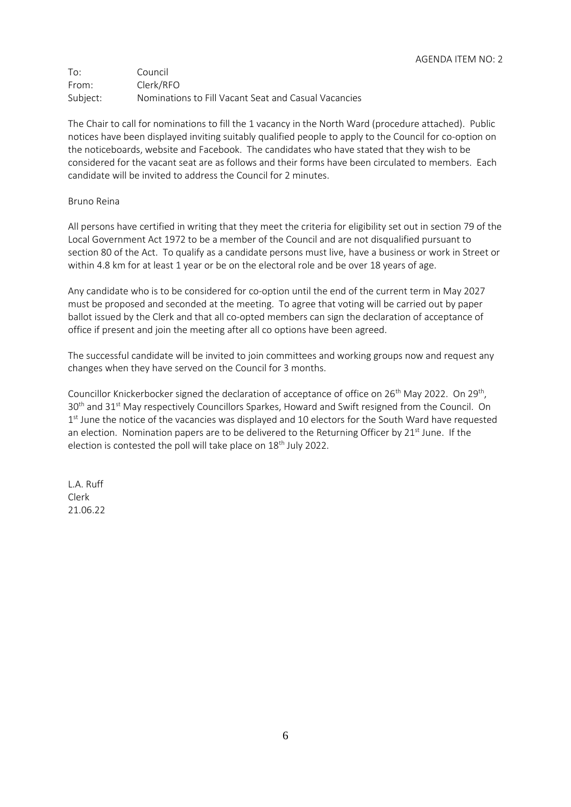To: Council From: Clerk/RFO Subject: Nominations to Fill Vacant Seat and Casual Vacancies

The Chair to call for nominations to fill the 1 vacancy in the North Ward (procedure attached). Public notices have been displayed inviting suitably qualified people to apply to the Council for co-option on the noticeboards, website and Facebook. The candidates who have stated that they wish to be considered for the vacant seat are as follows and their forms have been circulated to members. Each candidate will be invited to address the Council for 2 minutes.

#### Bruno Reina

All persons have certified in writing that they meet the criteria for eligibility set out in section 79 of the Local Government Act 1972 to be a member of the Council and are not disqualified pursuant to section 80 of the Act. To qualify as a candidate persons must live, have a business or work in Street or within 4.8 km for at least 1 year or be on the electoral role and be over 18 years of age.

Any candidate who is to be considered for co-option until the end of the current term in May 2027 must be proposed and seconded at the meeting. To agree that voting will be carried out by paper ballot issued by the Clerk and that all co-opted members can sign the declaration of acceptance of office if present and join the meeting after all co options have been agreed.

The successful candidate will be invited to join committees and working groups now and request any changes when they have served on the Council for 3 months.

Councillor Knickerbocker signed the declaration of acceptance of office on 26<sup>th</sup> May 2022. On 29<sup>th</sup>, 30<sup>th</sup> and 31<sup>st</sup> May respectively Councillors Sparkes, Howard and Swift resigned from the Council. On 1<sup>st</sup> June the notice of the vacancies was displayed and 10 electors for the South Ward have requested an election. Nomination papers are to be delivered to the Returning Officer by  $21<sup>st</sup>$  June. If the election is contested the poll will take place on 18<sup>th</sup> July 2022.

L.A. Ruff Clerk 21.06.22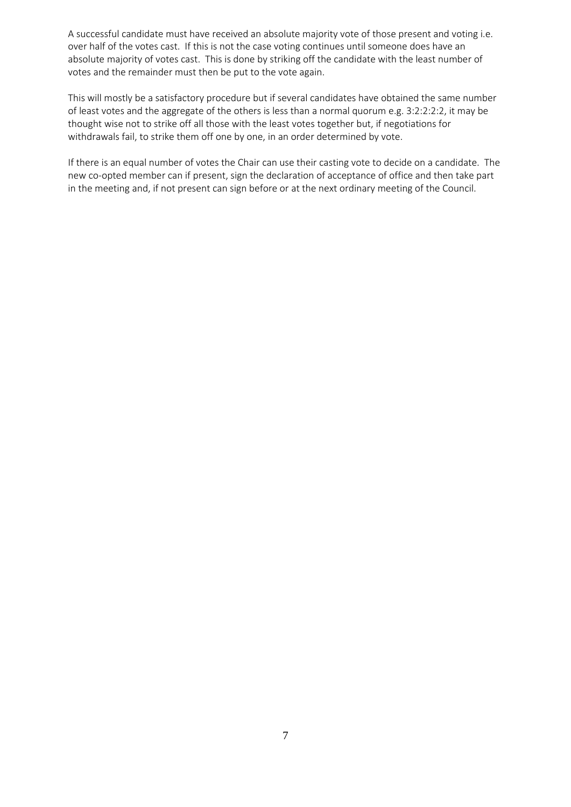A successful candidate must have received an absolute majority vote of those present and voting i.e. over half of the votes cast. If this is not the case voting continues until someone does have an absolute majority of votes cast. This is done by striking off the candidate with the least number of votes and the remainder must then be put to the vote again.

This will mostly be a satisfactory procedure but if several candidates have obtained the same number of least votes and the aggregate of the others is less than a normal quorum e.g. 3:2:2:2:2, it may be thought wise not to strike off all those with the least votes together but, if negotiations for withdrawals fail, to strike them off one by one, in an order determined by vote.

If there is an equal number of votes the Chair can use their casting vote to decide on a candidate. The new co-opted member can if present, sign the declaration of acceptance of office and then take part in the meeting and, if not present can sign before or at the next ordinary meeting of the Council.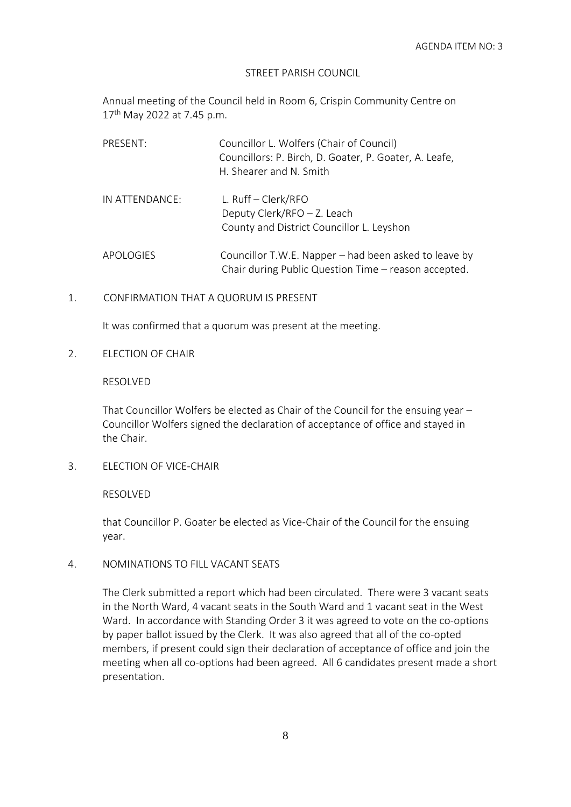#### STREET PARISH COUNCIL

Annual meeting of the Council held in Room 6, Crispin Community Centre on 17<sup>th</sup> May 2022 at 7.45 p.m.

| PRESENT:       | Councillor L. Wolfers (Chair of Council)<br>Councillors: P. Birch, D. Goater, P. Goater, A. Leafe,<br>H. Shearer and N. Smith |
|----------------|-------------------------------------------------------------------------------------------------------------------------------|
| IN ATTENDANCE: | L. $Ruff - Clerk/RFO$<br>Deputy Clerk/RFO - Z. Leach<br>County and District Councillor L. Leyshon                             |
| APOLOGIES      | Councillor T.W.E. Napper – had been asked to leave by<br>Chair during Public Question Time - reason accepted.                 |

## 1. CONFIRMATION THAT A QUORUM IS PRESENT

It was confirmed that a quorum was present at the meeting.

2. ELECTION OF CHAIR

## RESOLVED

That Councillor Wolfers be elected as Chair of the Council for the ensuing year – Councillor Wolfers signed the declaration of acceptance of office and stayed in the Chair.

3. ELECTION OF VICE-CHAIR

## RESOLVED

that Councillor P. Goater be elected as Vice-Chair of the Council for the ensuing year.

4. NOMINATIONS TO FILL VACANT SEATS

The Clerk submitted a report which had been circulated. There were 3 vacant seats in the North Ward, 4 vacant seats in the South Ward and 1 vacant seat in the West Ward. In accordance with Standing Order 3 it was agreed to vote on the co-options by paper ballot issued by the Clerk. It was also agreed that all of the co-opted members, if present could sign their declaration of acceptance of office and join the meeting when all co-options had been agreed. All 6 candidates present made a short presentation.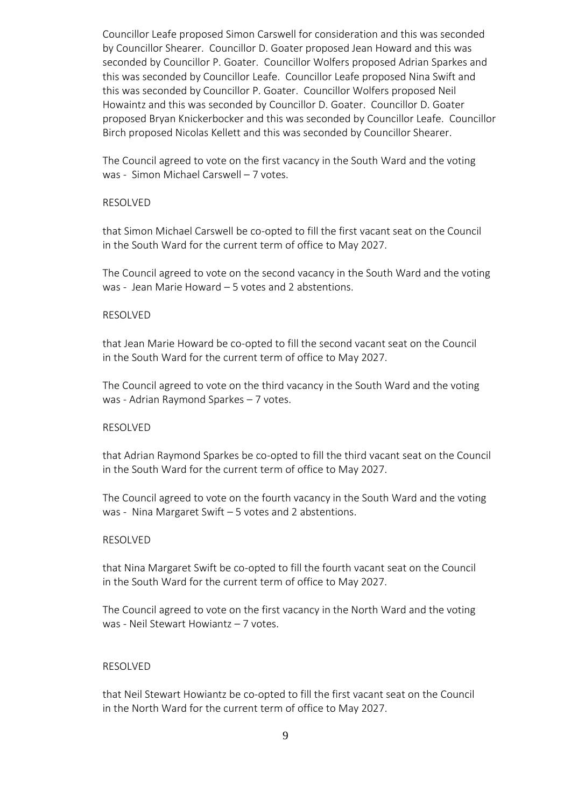Councillor Leafe proposed Simon Carswell for consideration and this was seconded by Councillor Shearer. Councillor D. Goater proposed Jean Howard and this was seconded by Councillor P. Goater. Councillor Wolfers proposed Adrian Sparkes and this was seconded by Councillor Leafe. Councillor Leafe proposed Nina Swift and this was seconded by Councillor P. Goater. Councillor Wolfers proposed Neil Howaintz and this was seconded by Councillor D. Goater. Councillor D. Goater proposed Bryan Knickerbocker and this was seconded by Councillor Leafe. Councillor Birch proposed Nicolas Kellett and this was seconded by Councillor Shearer.

The Council agreed to vote on the first vacancy in the South Ward and the voting was - Simon Michael Carswell – 7 votes.

#### RESOLVED

that Simon Michael Carswell be co-opted to fill the first vacant seat on the Council in the South Ward for the current term of office to May 2027.

The Council agreed to vote on the second vacancy in the South Ward and the voting was - Jean Marie Howard – 5 votes and 2 abstentions.

#### RESOLVED

that Jean Marie Howard be co-opted to fill the second vacant seat on the Council in the South Ward for the current term of office to May 2027.

The Council agreed to vote on the third vacancy in the South Ward and the voting was - Adrian Raymond Sparkes – 7 votes.

#### RESOLVED

that Adrian Raymond Sparkes be co-opted to fill the third vacant seat on the Council in the South Ward for the current term of office to May 2027.

The Council agreed to vote on the fourth vacancy in the South Ward and the voting was - Nina Margaret Swift – 5 votes and 2 abstentions.

#### RESOLVED

that Nina Margaret Swift be co-opted to fill the fourth vacant seat on the Council in the South Ward for the current term of office to May 2027.

The Council agreed to vote on the first vacancy in the North Ward and the voting was - Neil Stewart Howiantz – 7 votes.

#### RESOLVED

that Neil Stewart Howiantz be co-opted to fill the first vacant seat on the Council in the North Ward for the current term of office to May 2027.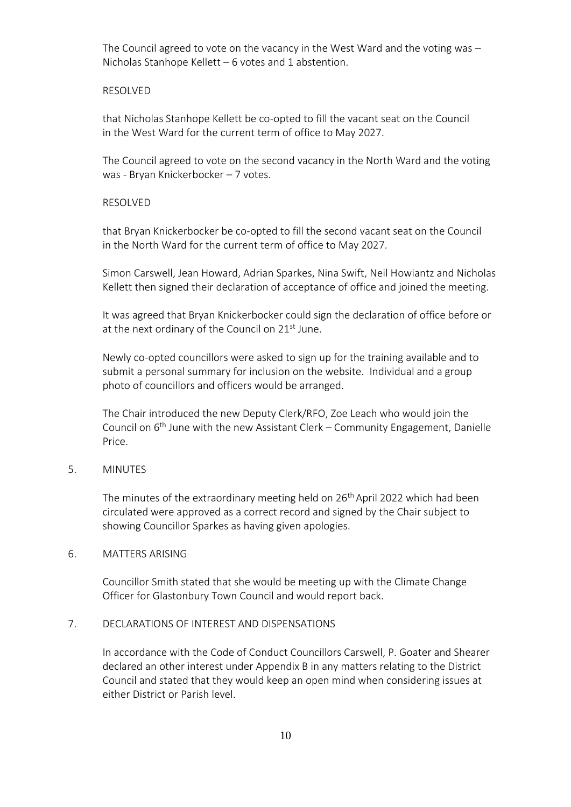The Council agreed to vote on the vacancy in the West Ward and the voting was – Nicholas Stanhope Kellett – 6 votes and 1 abstention.

#### RESOLVED

that Nicholas Stanhope Kellett be co-opted to fill the vacant seat on the Council in the West Ward for the current term of office to May 2027.

The Council agreed to vote on the second vacancy in the North Ward and the voting was - Bryan Knickerbocker – 7 votes.

#### RESOLVED

that Bryan Knickerbocker be co-opted to fill the second vacant seat on the Council in the North Ward for the current term of office to May 2027.

Simon Carswell, Jean Howard, Adrian Sparkes, Nina Swift, Neil Howiantz and Nicholas Kellett then signed their declaration of acceptance of office and joined the meeting.

It was agreed that Bryan Knickerbocker could sign the declaration of office before or at the next ordinary of the Council on  $21<sup>st</sup>$  June.

Newly co-opted councillors were asked to sign up for the training available and to submit a personal summary for inclusion on the website. Individual and a group photo of councillors and officers would be arranged.

The Chair introduced the new Deputy Clerk/RFO, Zoe Leach who would join the Council on 6<sup>th</sup> June with the new Assistant Clerk – Community Engagement, Danielle Price.

## 5. MINUTES

The minutes of the extraordinary meeting held on 26<sup>th</sup> April 2022 which had been circulated were approved as a correct record and signed by the Chair subject to showing Councillor Sparkes as having given apologies.

#### 6. MATTERS ARISING

Councillor Smith stated that she would be meeting up with the Climate Change Officer for Glastonbury Town Council and would report back.

## 7. DECLARATIONS OF INTEREST AND DISPENSATIONS

In accordance with the Code of Conduct Councillors Carswell, P. Goater and Shearer declared an other interest under Appendix B in any matters relating to the District Council and stated that they would keep an open mind when considering issues at either District or Parish level.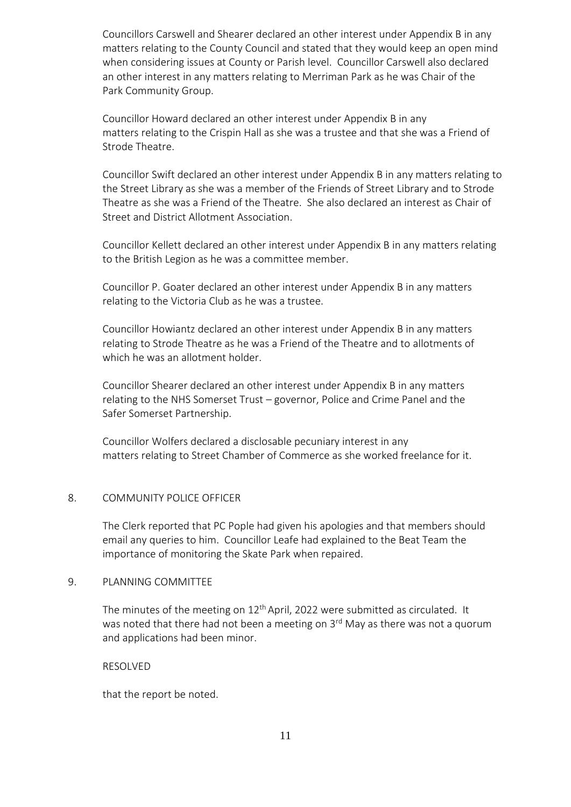Councillors Carswell and Shearer declared an other interest under Appendix B in any matters relating to the County Council and stated that they would keep an open mind when considering issues at County or Parish level. Councillor Carswell also declared an other interest in any matters relating to Merriman Park as he was Chair of the Park Community Group.

Councillor Howard declared an other interest under Appendix B in any matters relating to the Crispin Hall as she was a trustee and that she was a Friend of Strode Theatre.

Councillor Swift declared an other interest under Appendix B in any matters relating to the Street Library as she was a member of the Friends of Street Library and to Strode Theatre as she was a Friend of the Theatre. She also declared an interest as Chair of Street and District Allotment Association.

Councillor Kellett declared an other interest under Appendix B in any matters relating to the British Legion as he was a committee member.

Councillor P. Goater declared an other interest under Appendix B in any matters relating to the Victoria Club as he was a trustee.

Councillor Howiantz declared an other interest under Appendix B in any matters relating to Strode Theatre as he was a Friend of the Theatre and to allotments of which he was an allotment holder.

Councillor Shearer declared an other interest under Appendix B in any matters relating to the NHS Somerset Trust – governor, Police and Crime Panel and the Safer Somerset Partnership.

Councillor Wolfers declared a disclosable pecuniary interest in any matters relating to Street Chamber of Commerce as she worked freelance for it.

#### 8. COMMUNITY POLICE OFFICER

The Clerk reported that PC Pople had given his apologies and that members should email any queries to him. Councillor Leafe had explained to the Beat Team the importance of monitoring the Skate Park when repaired.

## 9. PLANNING COMMITTEE

The minutes of the meeting on  $12<sup>th</sup>$  April, 2022 were submitted as circulated. It was noted that there had not been a meeting on 3<sup>rd</sup> May as there was not a quorum and applications had been minor.

RESOLVED

that the report be noted.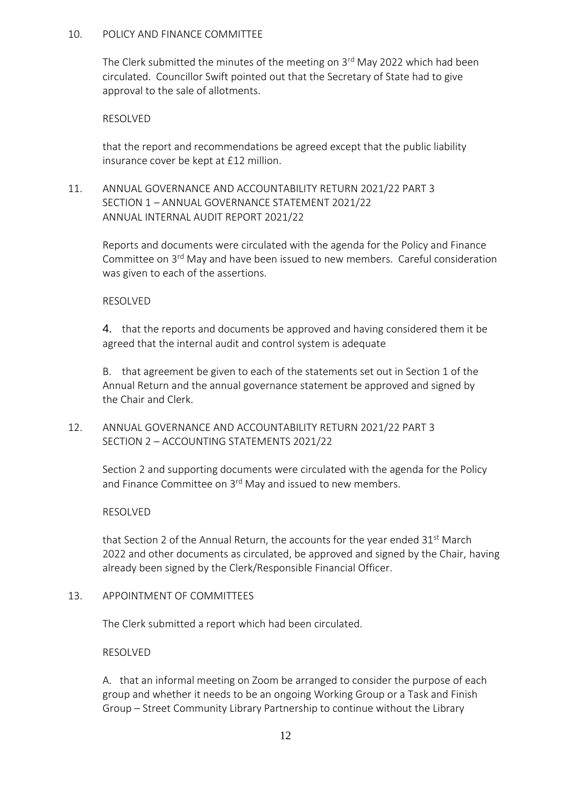## 10. POLICY AND FINANCE COMMITTEE

The Clerk submitted the minutes of the meeting on 3rd May 2022 which had been circulated. Councillor Swift pointed out that the Secretary of State had to give approval to the sale of allotments.

## RESOLVED

that the report and recommendations be agreed except that the public liability insurance cover be kept at £12 million.

11. ANNUAL GOVERNANCE AND ACCOUNTABILITY RETURN 2021/22 PART 3 SECTION 1 – ANNUAL GOVERNANCE STATEMENT 2021/22 ANNUAL INTERNAL AUDIT REPORT 2021/22

Reports and documents were circulated with the agenda for the Policy and Finance Committee on 3rd May and have been issued to new members. Careful consideration was given to each of the assertions.

# RESOLVED

4. that the reports and documents be approved and having considered them it be agreed that the internal audit and control system is adequate

B. that agreement be given to each of the statements set out in Section 1 of the Annual Return and the annual governance statement be approved and signed by the Chair and Clerk.

# 12. ANNUAL GOVERNANCE AND ACCOUNTABILITY RETURN 2021/22 PART 3 SECTION 2 – ACCOUNTING STATEMENTS 2021/22

Section 2 and supporting documents were circulated with the agenda for the Policy and Finance Committee on 3<sup>rd</sup> May and issued to new members.

## RESOLVED

that Section 2 of the Annual Return, the accounts for the year ended  $31<sup>st</sup>$  March 2022 and other documents as circulated, be approved and signed by the Chair, having already been signed by the Clerk/Responsible Financial Officer.

## 13. APPOINTMENT OF COMMITTEES

The Clerk submitted a report which had been circulated.

RESOLVED

A. that an informal meeting on Zoom be arranged to consider the purpose of each group and whether it needs to be an ongoing Working Group or a Task and Finish Group – Street Community Library Partnership to continue without the Library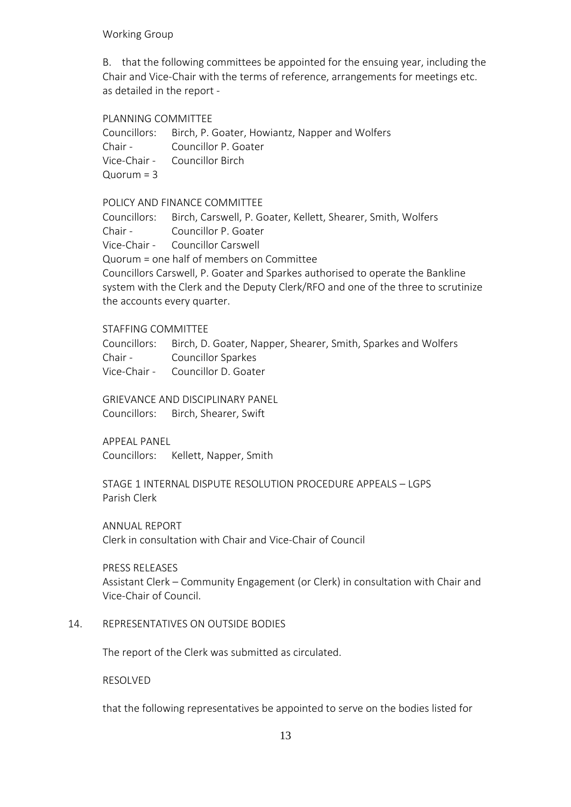### Working Group

B. that the following committees be appointed for the ensuing year, including the Chair and Vice-Chair with the terms of reference, arrangements for meetings etc. as detailed in the report -

#### PLANNING COMMITTEE

Councillors: Birch, P. Goater, Howiantz, Napper and Wolfers Chair - Councillor P. Goater Vice-Chair - Councillor Birch  $Quorum = 3$ 

POLICY AND FINANCE COMMITTEE

Councillors: Birch, Carswell, P. Goater, Kellett, Shearer, Smith, Wolfers Chair - Councillor P. Goater Vice-Chair - Councillor Carswell Quorum = one half of members on Committee Councillors Carswell, P. Goater and Sparkes authorised to operate the Bankline system with the Clerk and the Deputy Clerk/RFO and one of the three to scrutinize the accounts every quarter.

## STAFFING COMMITTEE

Councillors: Birch, D. Goater, Napper, Shearer, Smith, Sparkes and Wolfers Chair - Councillor Sparkes Vice-Chair - Councillor D. Goater

GRIEVANCE AND DISCIPLINARY PANEL

Councillors: Birch, Shearer, Swift

APPEAL PANEL

Councillors: Kellett, Napper, Smith

STAGE 1 INTERNAL DISPUTE RESOLUTION PROCEDURE APPEALS – LGPS Parish Clerk

ANNUAL REPORT

Clerk in consultation with Chair and Vice-Chair of Council

PRESS RELEASES

Assistant Clerk – Community Engagement (or Clerk) in consultation with Chair and Vice-Chair of Council.

## 14. REPRESENTATIVES ON OUTSIDE BODIES

The report of the Clerk was submitted as circulated.

#### RESOLVED

that the following representatives be appointed to serve on the bodies listed for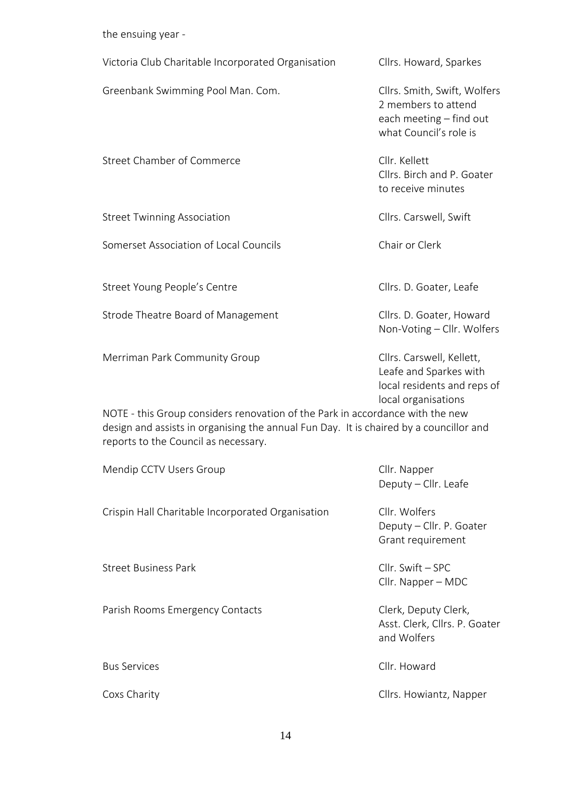the ensuing year -

| Victoria Club Charitable Incorporated Organisation                                                                                                                                                                                                                                                                                                            | Cllrs. Howard, Sparkes                                                                                   |
|---------------------------------------------------------------------------------------------------------------------------------------------------------------------------------------------------------------------------------------------------------------------------------------------------------------------------------------------------------------|----------------------------------------------------------------------------------------------------------|
| Greenbank Swimming Pool Man. Com.                                                                                                                                                                                                                                                                                                                             | Cllrs. Smith, Swift, Wolfers<br>2 members to attend<br>each meeting - find out<br>what Council's role is |
| Street Chamber of Commerce                                                                                                                                                                                                                                                                                                                                    | Cllr. Kellett<br>Cllrs. Birch and P. Goater<br>to receive minutes                                        |
| <b>Street Twinning Association</b>                                                                                                                                                                                                                                                                                                                            | Cllrs. Carswell, Swift                                                                                   |
| Somerset Association of Local Councils                                                                                                                                                                                                                                                                                                                        | Chair or Clerk                                                                                           |
| Street Young People's Centre                                                                                                                                                                                                                                                                                                                                  | Cllrs. D. Goater, Leafe                                                                                  |
| Strode Theatre Board of Management                                                                                                                                                                                                                                                                                                                            | Cllrs. D. Goater, Howard<br>Non-Voting - Cllr. Wolfers                                                   |
| Merriman Park Community Group<br>Cllrs. Carswell, Kellett,<br>Leafe and Sparkes with<br>local residents and reps of<br>local organisations<br>NOTE - this Group considers renovation of the Park in accordance with the new<br>design and assists in organising the annual Fun Day. It is chaired by a councillor and<br>reports to the Council as necessary. |                                                                                                          |
| Mendip CCTV Users Group                                                                                                                                                                                                                                                                                                                                       | Cllr. Napper<br>Deputy - Cllr. Leafe                                                                     |
| Crispin Hall Charitable Incorporated Organisation                                                                                                                                                                                                                                                                                                             | Cllr. Wolfers<br>Deputy - Cllr. P. Goater<br>Grant requirement                                           |
| <b>Street Business Park</b>                                                                                                                                                                                                                                                                                                                                   | Cllr. Swift - SPC<br>Cllr. Napper - MDC                                                                  |
| Parish Rooms Emergency Contacts                                                                                                                                                                                                                                                                                                                               | Clerk, Deputy Clerk,<br>Asst. Clerk, Cllrs. P. Goater<br>and Wolfers                                     |
| <b>Bus Services</b>                                                                                                                                                                                                                                                                                                                                           | Cllr. Howard                                                                                             |
| Coxs Charity                                                                                                                                                                                                                                                                                                                                                  | Cllrs. Howiantz, Napper                                                                                  |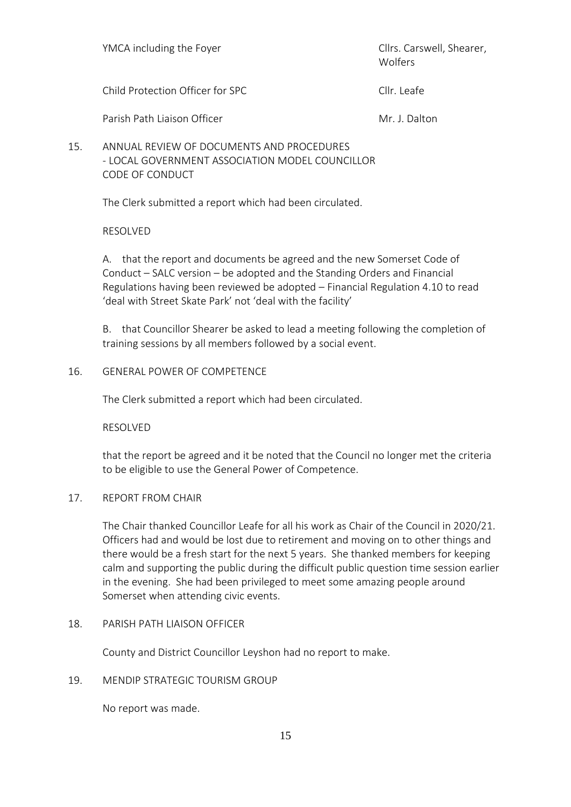YMCA including the Foyer The Client Client Client Client Client Client Client Client Client Client Client Client Wolfers Child Protection Officer for SPC Clinical Clinical Clinical Clinical Clinical Clinical Clinical Clinical Clinical Clinical Clinical Clinical Clinical Clinical Clinical Clinical Clinical Clinical Clinical Clinical Clinical

Parish Path Liaison Officer Mr. J. Dalton

15. ANNUAL REVIEW OF DOCUMENTS AND PROCEDURES - LOCAL GOVERNMENT ASSOCIATION MODEL COUNCILLOR CODE OF CONDUCT

The Clerk submitted a report which had been circulated.

# RESOLVED

A. that the report and documents be agreed and the new Somerset Code of Conduct – SALC version – be adopted and the Standing Orders and Financial Regulations having been reviewed be adopted – Financial Regulation 4.10 to read 'deal with Street Skate Park' not 'deal with the facility'

B. that Councillor Shearer be asked to lead a meeting following the completion of training sessions by all members followed by a social event.

# 16. GENERAL POWER OF COMPETENCE

The Clerk submitted a report which had been circulated.

RESOLVED

that the report be agreed and it be noted that the Council no longer met the criteria to be eligible to use the General Power of Competence.

## 17. REPORT FROM CHAIR

The Chair thanked Councillor Leafe for all his work as Chair of the Council in 2020/21. Officers had and would be lost due to retirement and moving on to other things and there would be a fresh start for the next 5 years. She thanked members for keeping calm and supporting the public during the difficult public question time session earlier in the evening. She had been privileged to meet some amazing people around Somerset when attending civic events.

## 18. PARISH PATH LIAISON OFFICER

County and District Councillor Leyshon had no report to make.

19. MENDIP STRATEGIC TOURISM GROUP

No report was made.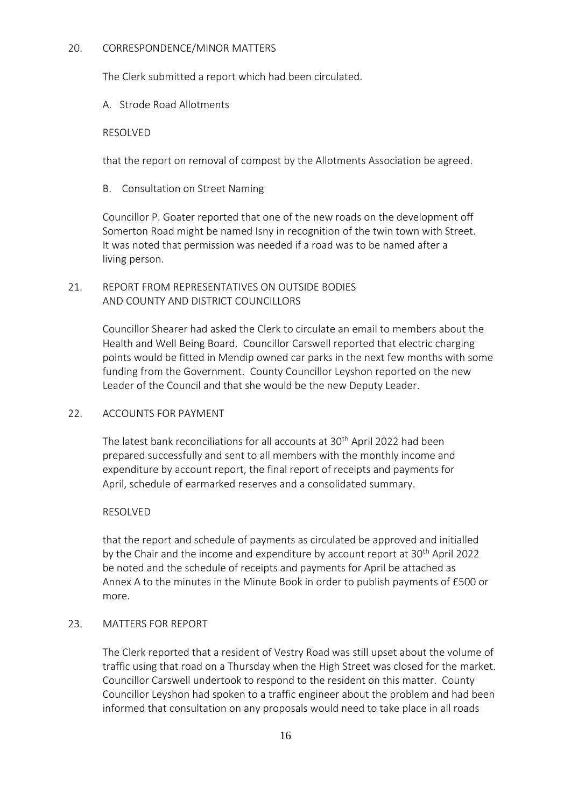## 20. CORRESPONDENCE/MINOR MATTERS

The Clerk submitted a report which had been circulated.

## A. Strode Road Allotments

## RESOLVED

that the report on removal of compost by the Allotments Association be agreed.

B. Consultation on Street Naming

Councillor P. Goater reported that one of the new roads on the development off Somerton Road might be named Isny in recognition of the twin town with Street. It was noted that permission was needed if a road was to be named after a living person.

## 21. REPORT FROM REPRESENTATIVES ON OUTSIDE BODIES AND COUNTY AND DISTRICT COUNCILLORS

Councillor Shearer had asked the Clerk to circulate an email to members about the Health and Well Being Board. Councillor Carswell reported that electric charging points would be fitted in Mendip owned car parks in the next few months with some funding from the Government. County Councillor Leyshon reported on the new Leader of the Council and that she would be the new Deputy Leader.

## 22. ACCOUNTS FOR PAYMENT

The latest bank reconciliations for all accounts at 30<sup>th</sup> April 2022 had been prepared successfully and sent to all members with the monthly income and expenditure by account report, the final report of receipts and payments for April, schedule of earmarked reserves and a consolidated summary.

## RESOLVED

that the report and schedule of payments as circulated be approved and initialled by the Chair and the income and expenditure by account report at 30<sup>th</sup> April 2022 be noted and the schedule of receipts and payments for April be attached as Annex A to the minutes in the Minute Book in order to publish payments of £500 or more.

## 23. MATTERS FOR REPORT

The Clerk reported that a resident of Vestry Road was still upset about the volume of traffic using that road on a Thursday when the High Street was closed for the market. Councillor Carswell undertook to respond to the resident on this matter. County Councillor Leyshon had spoken to a traffic engineer about the problem and had been informed that consultation on any proposals would need to take place in all roads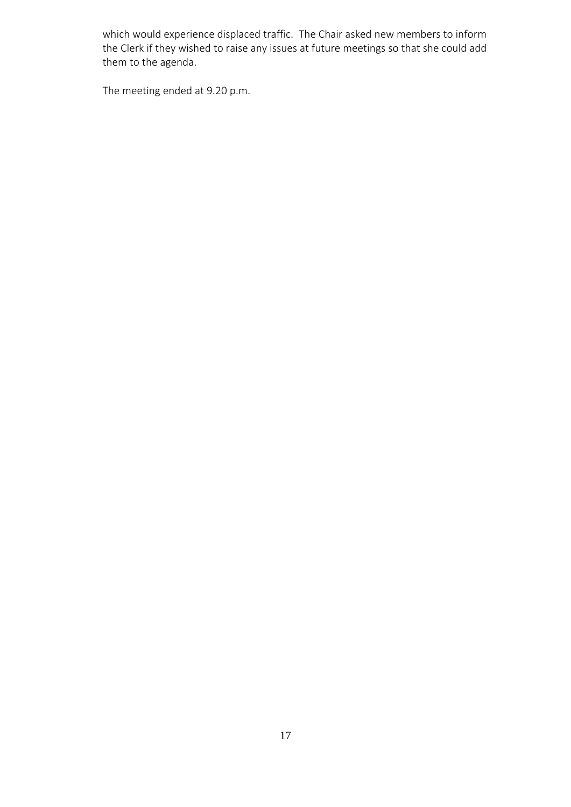which would experience displaced traffic. The Chair asked new members to inform the Clerk if they wished to raise any issues at future meetings so that she could add them to the agenda.

The meeting ended at 9.20 p.m.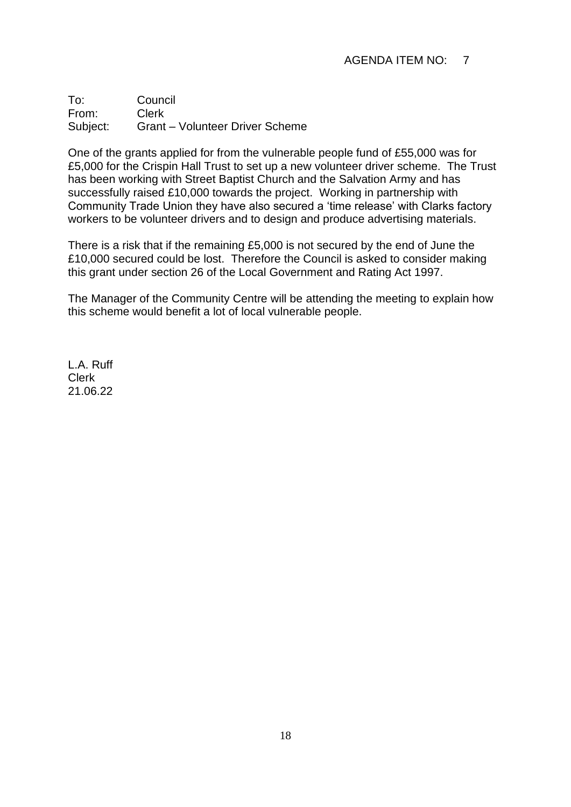# AGENDA ITEM NO: 7

To: Council From: Clerk Subject: Grant – Volunteer Driver Scheme

One of the grants applied for from the vulnerable people fund of £55,000 was for £5,000 for the Crispin Hall Trust to set up a new volunteer driver scheme. The Trust has been working with Street Baptist Church and the Salvation Army and has successfully raised £10,000 towards the project. Working in partnership with Community Trade Union they have also secured a 'time release' with Clarks factory workers to be volunteer drivers and to design and produce advertising materials.

There is a risk that if the remaining £5,000 is not secured by the end of June the £10,000 secured could be lost. Therefore the Council is asked to consider making this grant under section 26 of the Local Government and Rating Act 1997.

The Manager of the Community Centre will be attending the meeting to explain how this scheme would benefit a lot of local vulnerable people.

L.A. Ruff Clerk 21.06.22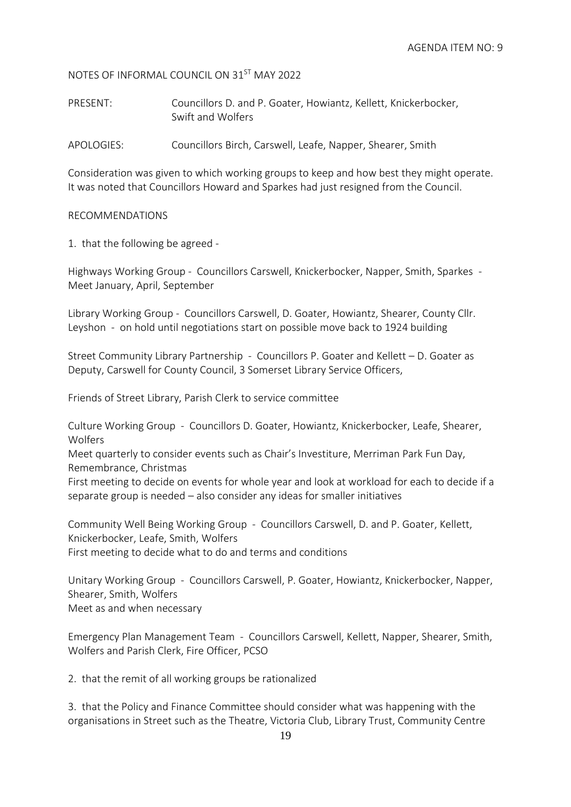NOTES OF INFORMAL COUNCIL ON 31ST MAY 2022

PRESENT: Councillors D. and P. Goater, Howiantz, Kellett, Knickerbocker, Swift and Wolfers

APOLOGIES: Councillors Birch, Carswell, Leafe, Napper, Shearer, Smith

Consideration was given to which working groups to keep and how best they might operate. It was noted that Councillors Howard and Sparkes had just resigned from the Council.

## RECOMMENDATIONS

1. that the following be agreed -

Highways Working Group - Councillors Carswell, Knickerbocker, Napper, Smith, Sparkes - Meet January, April, September

Library Working Group - Councillors Carswell, D. Goater, Howiantz, Shearer, County Cllr. Leyshon - on hold until negotiations start on possible move back to 1924 building

Street Community Library Partnership - Councillors P. Goater and Kellett – D. Goater as Deputy, Carswell for County Council, 3 Somerset Library Service Officers,

Friends of Street Library, Parish Clerk to service committee

Culture Working Group - Councillors D. Goater, Howiantz, Knickerbocker, Leafe, Shearer, Wolfers

Meet quarterly to consider events such as Chair's Investiture, Merriman Park Fun Day, Remembrance, Christmas

First meeting to decide on events for whole year and look at workload for each to decide if a separate group is needed – also consider any ideas for smaller initiatives

Community Well Being Working Group - Councillors Carswell, D. and P. Goater, Kellett, Knickerbocker, Leafe, Smith, Wolfers First meeting to decide what to do and terms and conditions

Unitary Working Group - Councillors Carswell, P. Goater, Howiantz, Knickerbocker, Napper, Shearer, Smith, Wolfers Meet as and when necessary

Emergency Plan Management Team - Councillors Carswell, Kellett, Napper, Shearer, Smith, Wolfers and Parish Clerk, Fire Officer, PCSO

2. that the remit of all working groups be rationalized

3. that the Policy and Finance Committee should consider what was happening with the organisations in Street such as the Theatre, Victoria Club, Library Trust, Community Centre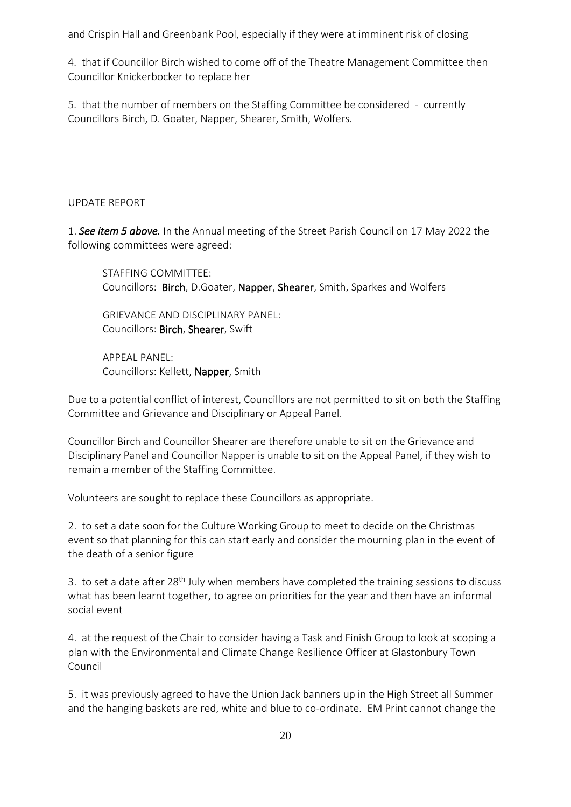and Crispin Hall and Greenbank Pool, especially if they were at imminent risk of closing

4. that if Councillor Birch wished to come off of the Theatre Management Committee then Councillor Knickerbocker to replace her

5. that the number of members on the Staffing Committee be considered - currently Councillors Birch, D. Goater, Napper, Shearer, Smith, Wolfers.

# UPDATE REPORT

1. *See item 5 above.* In the Annual meeting of the Street Parish Council on 17 May 2022 the following committees were agreed:

STAFFING COMMITTEE: Councillors: Birch, D.Goater, Napper, Shearer, Smith, Sparkes and Wolfers

GRIEVANCE AND DISCIPLINARY PANEL: Councillors: Birch, Shearer, Swift

APPEAL PANEL: Councillors: Kellett, Napper, Smith

Due to a potential conflict of interest, Councillors are not permitted to sit on both the Staffing Committee and Grievance and Disciplinary or Appeal Panel.

Councillor Birch and Councillor Shearer are therefore unable to sit on the Grievance and Disciplinary Panel and Councillor Napper is unable to sit on the Appeal Panel, if they wish to remain a member of the Staffing Committee.

Volunteers are sought to replace these Councillors as appropriate.

2. to set a date soon for the Culture Working Group to meet to decide on the Christmas event so that planning for this can start early and consider the mourning plan in the event of the death of a senior figure

3. to set a date after 28<sup>th</sup> July when members have completed the training sessions to discuss what has been learnt together, to agree on priorities for the year and then have an informal social event

4. at the request of the Chair to consider having a Task and Finish Group to look at scoping a plan with the Environmental and Climate Change Resilience Officer at Glastonbury Town Council

5. it was previously agreed to have the Union Jack banners up in the High Street all Summer and the hanging baskets are red, white and blue to co-ordinate. EM Print cannot change the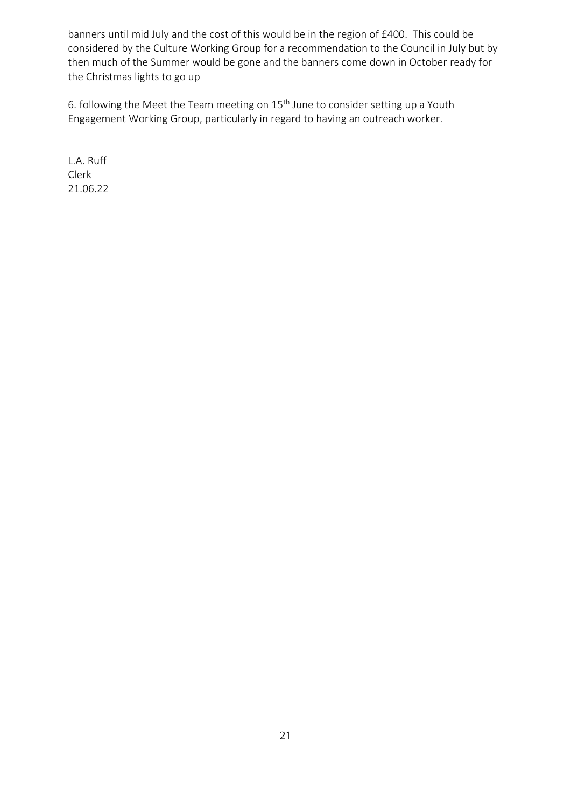banners until mid July and the cost of this would be in the region of £400. This could be considered by the Culture Working Group for a recommendation to the Council in July but by then much of the Summer would be gone and the banners come down in October ready for the Christmas lights to go up

6. following the Meet the Team meeting on  $15<sup>th</sup>$  June to consider setting up a Youth Engagement Working Group, particularly in regard to having an outreach worker.

L.A. Ruff Clerk 21.06.22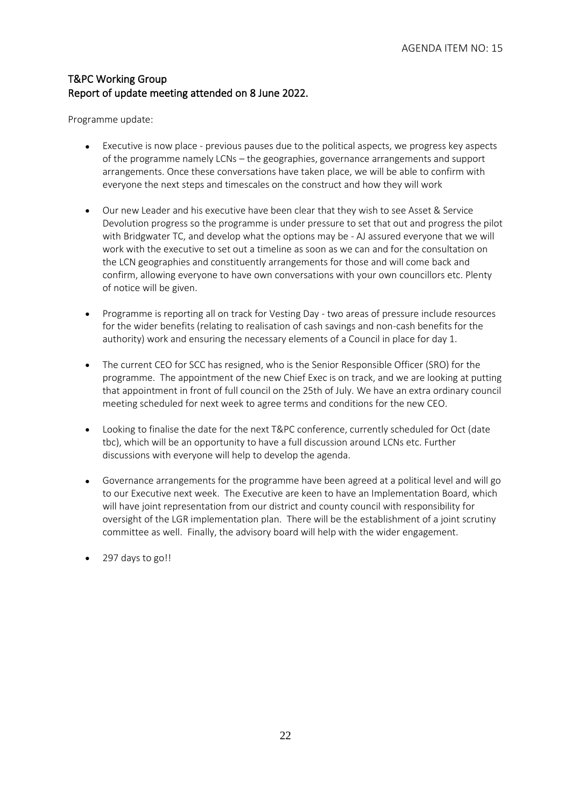# T&PC Working Group Report of update meeting attended on 8 June 2022.

Programme update:

- Executive is now place previous pauses due to the political aspects, we progress key aspects of the programme namely LCNs – the geographies, governance arrangements and support arrangements. Once these conversations have taken place, we will be able to confirm with everyone the next steps and timescales on the construct and how they will work
- Our new Leader and his executive have been clear that they wish to see Asset & Service Devolution progress so the programme is under pressure to set that out and progress the pilot with Bridgwater TC, and develop what the options may be - AJ assured everyone that we will work with the executive to set out a timeline as soon as we can and for the consultation on the LCN geographies and constituently arrangements for those and will come back and confirm, allowing everyone to have own conversations with your own councillors etc. Plenty of notice will be given.
- Programme is reporting all on track for Vesting Day two areas of pressure include resources for the wider benefits (relating to realisation of cash savings and non-cash benefits for the authority) work and ensuring the necessary elements of a Council in place for day 1.
- The current CEO for SCC has resigned, who is the Senior Responsible Officer (SRO) for the programme. The appointment of the new Chief Exec is on track, and we are looking at putting that appointment in front of full council on the 25th of July. We have an extra ordinary council meeting scheduled for next week to agree terms and conditions for the new CEO.
- Looking to finalise the date for the next T&PC conference, currently scheduled for Oct (date tbc), which will be an opportunity to have a full discussion around LCNs etc. Further discussions with everyone will help to develop the agenda.
- Governance arrangements for the programme have been agreed at a political level and will go to our Executive next week. The Executive are keen to have an Implementation Board, which will have joint representation from our district and county council with responsibility for oversight of the LGR implementation plan. There will be the establishment of a joint scrutiny committee as well. Finally, the advisory board will help with the wider engagement.
- 297 days to go!!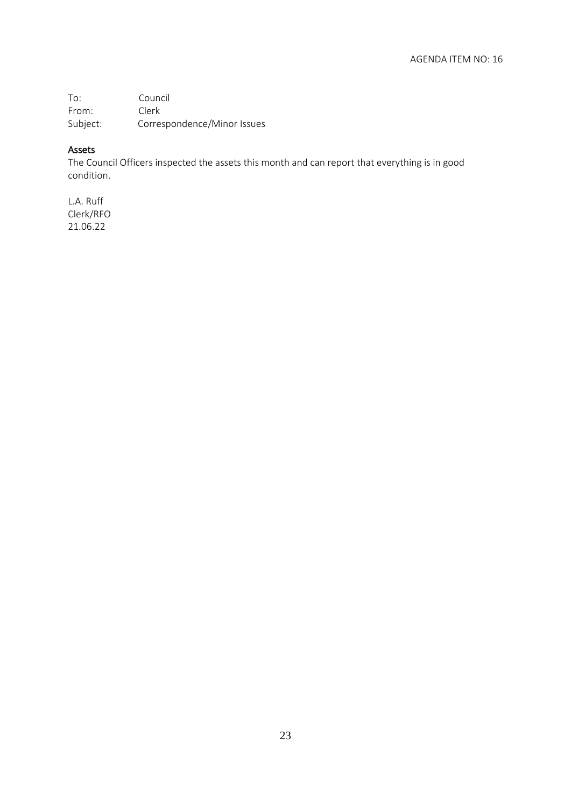To: Council From: Clerk Subject: Correspondence/Minor Issues

## Assets

The Council Officers inspected the assets this month and can report that everything is in good condition.

L.A. Ruff Clerk/RFO 21.06.22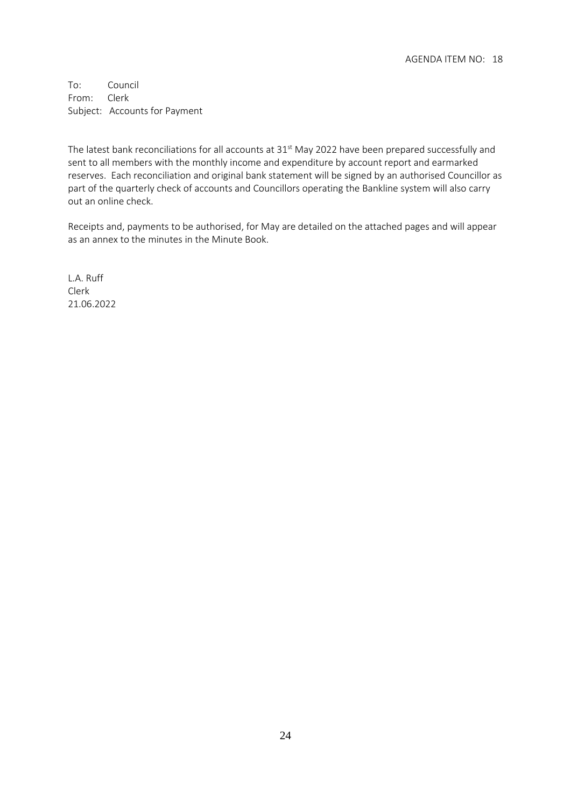To: Council From: Clerk Subject: Accounts for Payment

The latest bank reconciliations for all accounts at 31 $^{\rm st}$  May 2022 have been prepared successfully and sent to all members with the monthly income and expenditure by account report and earmarked reserves. Each reconciliation and original bank statement will be signed by an authorised Councillor as part of the quarterly check of accounts and Councillors operating the Bankline system will also carry out an online check.

Receipts and, payments to be authorised, for May are detailed on the attached pages and will appear as an annex to the minutes in the Minute Book.

L.A. Ruff Clerk 21.06.2022